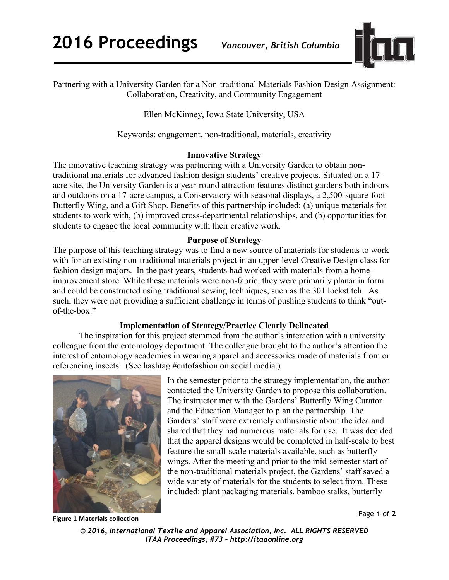**2016 Proceedings** *Vancouver, British Columbia*



Partnering with a University Garden for a Non-traditional Materials Fashion Design Assignment: Collaboration, Creativity, and Community Engagement

Ellen McKinney, Iowa State University, USA

Keywords: engagement, non-traditional, materials, creativity

## **Innovative Strategy**

The innovative teaching strategy was partnering with a University Garden to obtain nontraditional materials for advanced fashion design students' creative projects. Situated on a 17 acre site, the University Garden is a year-round attraction features distinct gardens both indoors and outdoors on a 17-acre campus, a Conservatory with seasonal displays, a 2,500-square-foot Butterfly Wing, and a Gift Shop. Benefits of this partnership included: (a) unique materials for students to work with, (b) improved cross-departmental relationships, and (b) opportunities for students to engage the local community with their creative work.

## **Purpose of Strategy**

The purpose of this teaching strategy was to find a new source of materials for students to work with for an existing non-traditional materials project in an upper-level Creative Design class for fashion design majors. In the past years, students had worked with materials from a homeimprovement store. While these materials were non-fabric, they were primarily planar in form and could be constructed using traditional sewing techniques, such as the 301 lockstitch. As such, they were not providing a sufficient challenge in terms of pushing students to think "outof-the-box."

## **Implementation of Strategy/Practice Clearly Delineated**

The inspiration for this project stemmed from the author's interaction with a university colleague from the entomology department. The colleague brought to the author's attention the interest of entomology academics in wearing apparel and accessories made of materials from or referencing insects. (See hashtag #entofashion on social media.)



In the semester prior to the strategy implementation, the author contacted the University Garden to propose this collaboration. The instructor met with the Gardens' Butterfly Wing Curator and the Education Manager to plan the partnership. The Gardens' staff were extremely enthusiastic about the idea and shared that they had numerous materials for use. It was decided that the apparel designs would be completed in half-scale to best feature the small-scale materials available, such as butterfly wings. After the meeting and prior to the mid-semester start of the non-traditional materials project, the Gardens' staff saved a wide variety of materials for the students to select from. These included: plant packaging materials, bamboo stalks, butterfly

**Figure 1 Materials collection**

Page **1** of **2** 

*<sup>© 2016,</sup> International Textile and Apparel Association, Inc. ALL RIGHTS RESERVED ITAA Proceedings, #73 – http://itaaonline.org*